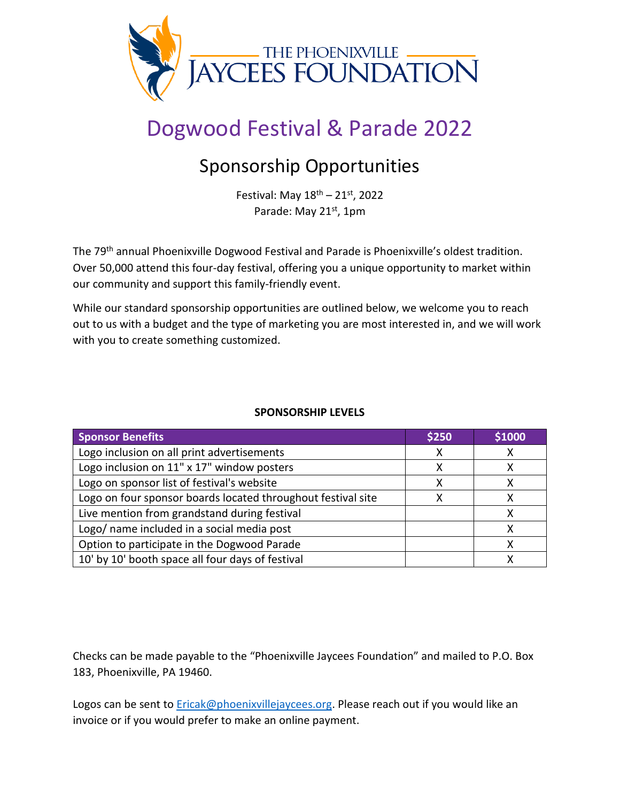

# Dogwood Festival & Parade 2022

## Sponsorship Opportunities

Festival: May  $18^{\text{th}} - 21^{\text{st}}$ , 2022 Parade: May 21st, 1pm

The 79<sup>th</sup> annual Phoenixville Dogwood Festival and Parade is Phoenixville's oldest tradition. Over 50,000 attend this four-day festival, offering you a unique opportunity to market within our community and support this family-friendly event.

While our standard sponsorship opportunities are outlined below, we welcome you to reach out to us with a budget and the type of marketing you are most interested in, and we will work with you to create something customized.

#### **SPONSORSHIP LEVELS**

| <b>Sponsor Benefits</b>                                      | \$250 | \$1000 |
|--------------------------------------------------------------|-------|--------|
| Logo inclusion on all print advertisements                   |       |        |
| Logo inclusion on 11" x 17" window posters                   |       |        |
| Logo on sponsor list of festival's website                   |       |        |
| Logo on four sponsor boards located throughout festival site |       |        |
| Live mention from grandstand during festival                 |       |        |
| Logo/ name included in a social media post                   |       |        |
| Option to participate in the Dogwood Parade                  |       |        |
| 10' by 10' booth space all four days of festival             |       |        |

Checks can be made payable to the "Phoenixville Jaycees Foundation" and mailed to P.O. Box 183, Phoenixville, PA 19460.

Logos can be sent to **Ericak@phoenixvillejaycees.org**. Please reach out if you would like an invoice or if you would prefer to make an online payment.